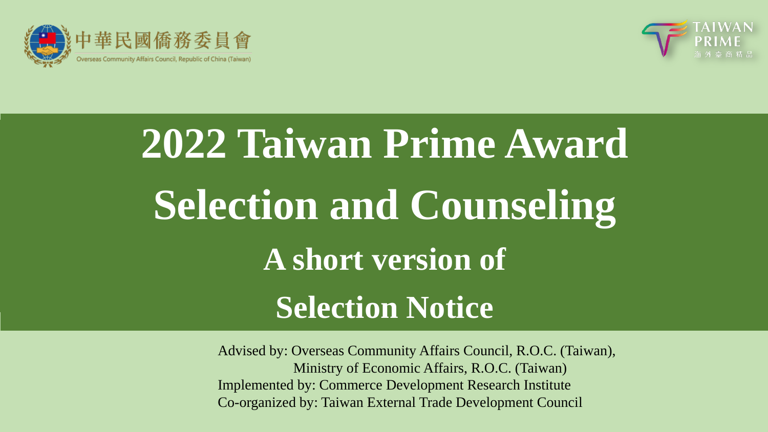



# **2022 Taiwan Prime Award Selection and Counseling A short version of Selection Notice**

Advised by: Overseas Community Affairs Council, R.O.C. (Taiwan), Ministry of Economic Affairs, R.O.C. (Taiwan) Implemented by: Commerce Development Research Institute Co-organized by: Taiwan External Trade Development Council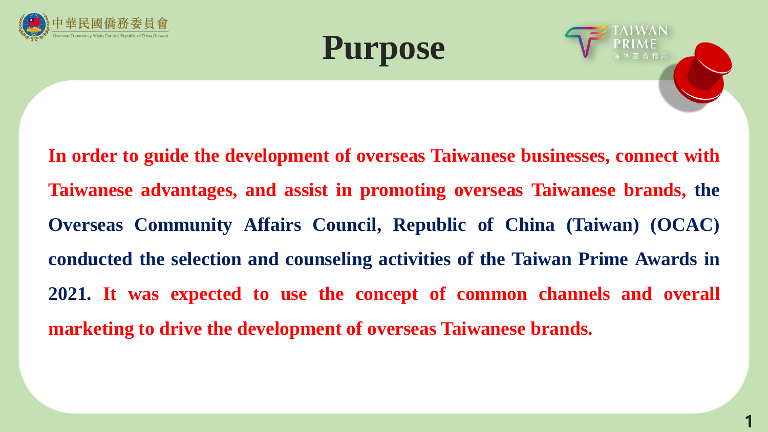





**In order to guide the development of overseas Taiwanese businesses, connect with Taiwanese advantages, and assist in promoting overseas Taiwanese brands, the Overseas Community Affairs Council, Republic of China (Taiwan) (OCAC) conducted the selection and counseling activities of the Taiwan Prime Awards in 2021. It was expected to use the concept of common channels and overall marketing to drive the development of overseas Taiwanese brands.**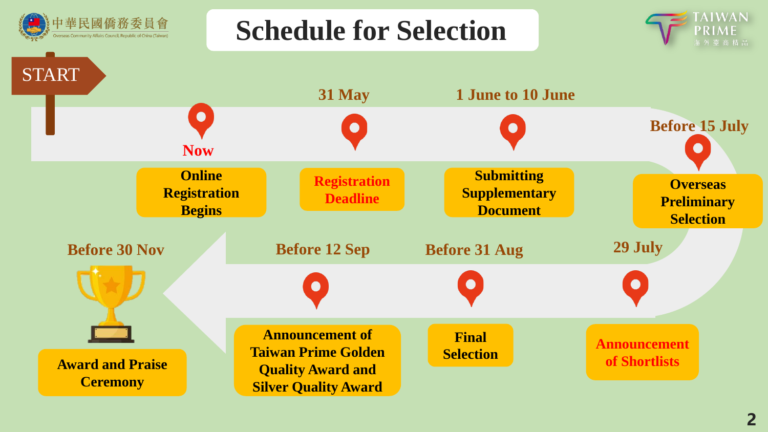

**Schedule for Selection**



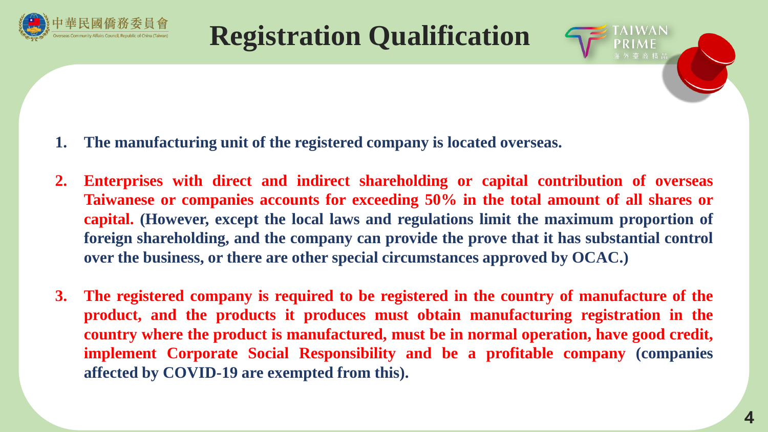

## **Registration Qualification**



- **2. Enterprises with direct and indirect shareholding or capital contribution of overseas Taiwanese or companies accounts for exceeding 50% in the total amount of all shares or capital. (However, except the local laws and regulations limit the maximum proportion of foreign shareholding, and the company can provide the prove that it has substantial control over the business, or there are other special circumstances approved by OCAC.)**
- **3. The registered company is required to be registered in the country of manufacture of the product, and the products it produces must obtain manufacturing registration in the country where the product is manufactured, must be in normal operation, have good credit, implement Corporate Social Responsibility and be a profitable company (companies affected by COVID-19 are exempted from this).**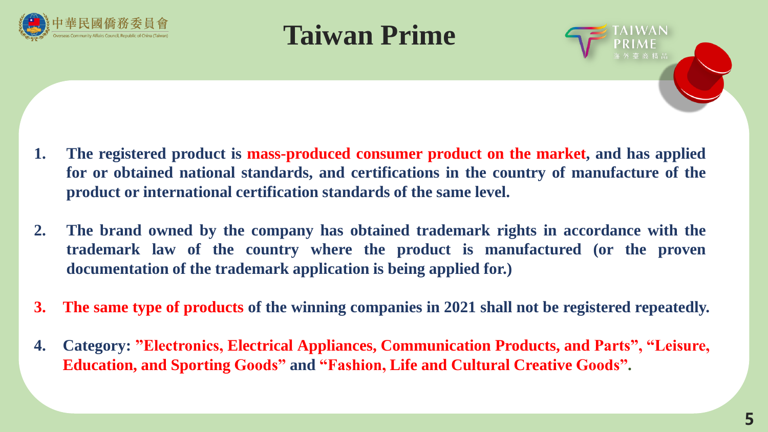





- **1. The registered product is mass-produced consumer product on the market, and has applied for or obtained national standards, and certifications in the country of manufacture of the product or international certification standards of the same level.**
- **2. The brand owned by the company has obtained trademark rights in accordance with the trademark law of the country where the product is manufactured (or the proven documentation of the trademark application is being applied for.)**
- **3. The same type of products of the winning companies in 2021 shall not be registered repeatedly.**
- **4. Category: "Electronics, Electrical Appliances, Communication Products, and Parts", "Leisure, Education, and Sporting Goods" and "Fashion, Life and Cultural Creative Goods".**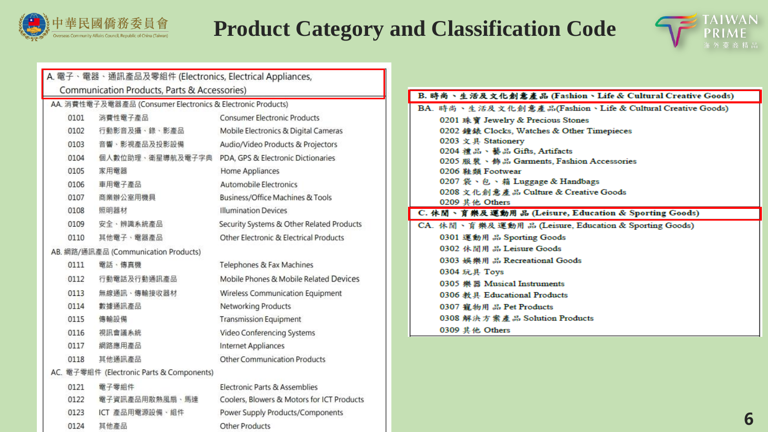

## **Product Category and Classification Code**



|      | A. 電子、電器、通訊產品及零組件 (Electronics, Electrical Appliances,      |                                            |
|------|-------------------------------------------------------------|--------------------------------------------|
|      | Communication Products, Parts & Accessories)                |                                            |
|      | AA. 消費性電子及電器產品 (Consumer Electronics & Electronic Products) |                                            |
| 0101 | 消費性電子產品                                                     | Consumer Electronic Products               |
| 0102 | 行動影音及攝、錄、影產品                                                | Mobile Electronics & Digital Cameras       |
| 0103 | 音響、影視產品及投影設備                                                | Audio/Video Products & Projectors          |
| 0104 | 個人數位助理、衛星導航及電子字典                                            | PDA, GPS & Electronic Dictionaries         |
| 0105 | 家用電器                                                        | Home Appliances                            |
| 0106 | 車用電子產品                                                      | Automobile Electronics                     |
| 0107 | 商業辦公室用機具                                                    | Business/Office Machines & Tools           |
| 0108 | 照明器材                                                        | <b>Illumination Devices</b>                |
| 0109 | 安全、辨識系統產品                                                   | Security Systems & Other Related Products  |
| 0110 | 其他賣子、賣器產品                                                   | Other Electronic & Electrical Products     |
|      | AB. 網路/通訊產品 (Communication Products)                        |                                            |
| 0111 | 電話、傳真機                                                      | Telephones & Fax Machines                  |
| 0112 | 行動電話及行動通訊產品                                                 | Mobile Phones & Mobile Related Devices     |
| 0113 | 無線通訊、傳輸接收器材                                                 | Wireless Communication Equipment           |
| 0114 | 數據通訊產品                                                      | Networking Products                        |
| 0115 | 傳輸設備                                                        | <b>Transmission Equipment</b>              |
| 0116 | 視訊會議系統                                                      | Video Conferencing Systems                 |
| 0117 | 網路應用產品                                                      | <b>Internet Appliances</b>                 |
| 0118 | 其他通訊產品                                                      | <b>Other Communication Products</b>        |
|      | AC. 電子零組件 (Electronic Parts & Components)                   |                                            |
| 0121 | 電子零組件                                                       | Electronic Parts & Assemblies              |
| 0122 | 電子資訊產品用散熱風扇、馬達                                              | Coolers, Blowers & Motors for ICT Products |
| 0123 | ICT 產品用電源設備、組件                                              | Power Supply Products/Components           |
| 0124 | 其他產品                                                        | <b>Other Products</b>                      |

| B. 時尚丶生活及文化創意產品 (Fashion丶Life & Cultural Creative Goods) |  |  |  |
|----------------------------------------------------------|--|--|--|
| BA. 時尚、生活及文化創意產品(Fashion、Life & Cultural Creative Goods) |  |  |  |
| 0201 珠寶 Jewelry & Precious Stones                        |  |  |  |
| 0202 鐘錶 Clocks, Watches & Other Timepieces               |  |  |  |
| 0203 文具 Stationery                                       |  |  |  |
| 0204 禮品、藝品 Gifts, Artifacts                              |  |  |  |
| 0205 服裝、飾品 Garments, Fashion Accessories                 |  |  |  |
| 0206 鞋類 Footwear                                         |  |  |  |
| 0207 袋、包、箱 Luggage & Handbags                            |  |  |  |
| 0208 文化創意產品 Culture & Creative Goods                     |  |  |  |
| 0209 其他 Others                                           |  |  |  |
| C. 休閒、育樂及運動用品 (Leisure, Education & Sporting Goods)      |  |  |  |
| CA. 休閒、育樂及運動用品 (Leisure, Education & Sporting Goods)     |  |  |  |
| 0301 運動用品 Sporting Goods                                 |  |  |  |
| 0302 休閒用 品 Leisure Goods                                 |  |  |  |
| 0303 娱樂用品 Recreational Goods                             |  |  |  |
| 0304 玩具 Toys                                             |  |  |  |
| 0305 樂器 Musical Instruments                              |  |  |  |
| 0306 教具 Educational Products                             |  |  |  |
| 0307 寵物用品 Pet Products                                   |  |  |  |
| 0308 解決方案產品 Solution Products                            |  |  |  |
| 0309 其他 Others                                           |  |  |  |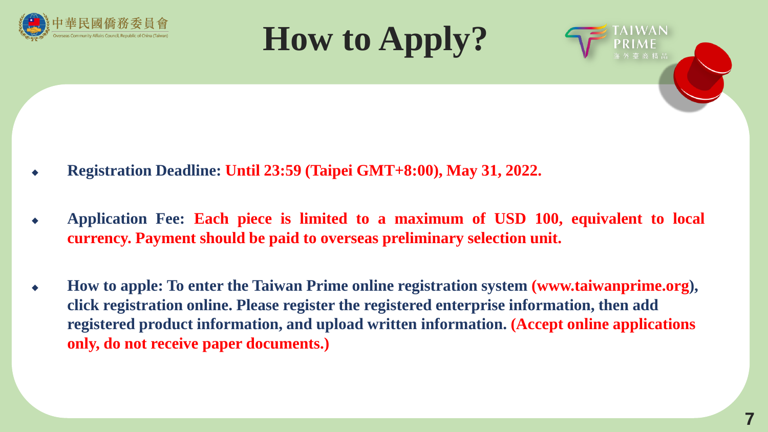





- ◆ **Registration Deadline: Until 23:59 (Taipei GMT+8:00), May 31, 2022.**
- ◆ **Application Fee: Each piece is limited to a maximum of USD 100, equivalent to local currency. Payment should be paid to overseas preliminary selection unit.**
- How to apple: To enter the Taiwan Prime online registration system (www.taiwanprime.org), **click registration online. Please register the registered enterprise information, then add registered product information, and upload written information. (Accept online applications only, do not receive paper documents.)**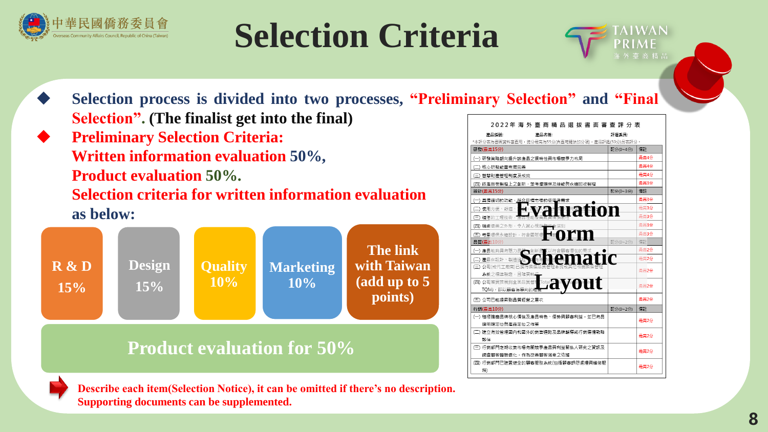

# **Selection Criteria**



- ◆ **Selection process is divided into two processes, "Preliminary Selection" and "Final Selection". (The finalist get into the final)**
- ◆ **Preliminary Selection Criteria: Written information evaluation 50%, Product evaluation 50%. Selection criteria for written information evaluation as below:**



## **Product evaluation for 50%**

| 2022年 海 外 臺 商 精 品 選 拔 書 面 審 查 評 分 表             |          |      |  |  |
|-------------------------------------------------|----------|------|--|--|
| 產品編號:<br>産品名種:                                  | 評選委員:    |      |  |  |
| *本評分表為書面資料審查用,總分最高為55分(含臺灣鏈結加分項),產品評鑑(50分)另表評分。 |          |      |  |  |
| 研發(最高15分)                                       | 配分(0~4分) | 備詳   |  |  |
| (一) 研發策略朝向提升該產品之獨特性與市場競爭力布局                     |          | 最高4分 |  |  |
| )核心研發能量布局完善<br>(_                               |          | 最高4分 |  |  |
| (三) 智慧財產管理制度及成效                                 |          | 最高4分 |  |  |
| (四) 該產品在製程上之創新,並考慮環保及綠能與永續回收製程                  |          | 最高3分 |  |  |
| 設計(最高15分)                                       | 配分(0~3分) | 備計   |  |  |
| (一) 具備適切的功能, <u>符合目</u> 標市場的使用者需求               |          | 最高3分 |  |  |
| va uation<br>使用方便、舒適<br>(_                      |          | 最高3分 |  |  |
| ∈<br>精湛的工程技術,                                   |          | 最高3分 |  |  |
| (四) 精緻優美之外形,令人賞心悅目                              |          | 最高3分 |  |  |
| orm<br>人範<br>(五) 考量環保永續設計, 符合國際環                |          | 最高3分 |  |  |
| 品質(最高10分)                                       | 配分(0~2分) | 備註   |  |  |
| (一) 產品能夠具有魅力品<br>₹▼創新品                          |          | 最高2分 |  |  |
| iatic<br>)產品在設計<br>製造強利                         |          | 最高2分 |  |  |
| (三) 公司(或代工廠商)已?                                 |          | 最高2分 |  |  |
| 系統之標進驗證,日確審執                                    |          |      |  |  |
| <b>Eavout</b><br>(四) 公司落實推展到全面品質管理              |          | 最高2分 |  |  |
| TOM),即以顧客為導向的經濟                                 |          |      |  |  |
| (五) 公司已能提昇到品質經營之層次                              |          | 最高2分 |  |  |
| 行銷(最高10分)                                       | 配分(0~2分) | 備詳   |  |  |
| (一) 秸橛推磨品牌核心價值及產品特色、優勢與顧客利益,並已有品                |          | 最高2分 |  |  |
| 牌明確定位與產品定位之作業                                   |          |      |  |  |
| (二) 建立有效管理國內和國外的鎖售通路及品牌輔導或行鎖傳播戰略                |          | 最高2分 |  |  |
| 繋伴                                              |          |      |  |  |
| (三) 行鎖部門定期收集市場有關競爭產品與利益關係人研究之資訊及                |          | 最高2分 |  |  |
| 調否顯客體驗優化,作為改善顧客滿意之依據                            |          |      |  |  |
| (四) 行鎖部門已建置健全的顧客服務系統(包括顧客訴怨處理與維修服               |          | 最高2分 |  |  |
| 務)                                              |          |      |  |  |



**Describe each item(Selection Notice), it can be omitted if there's no description. Supporting documents can be supplemented.**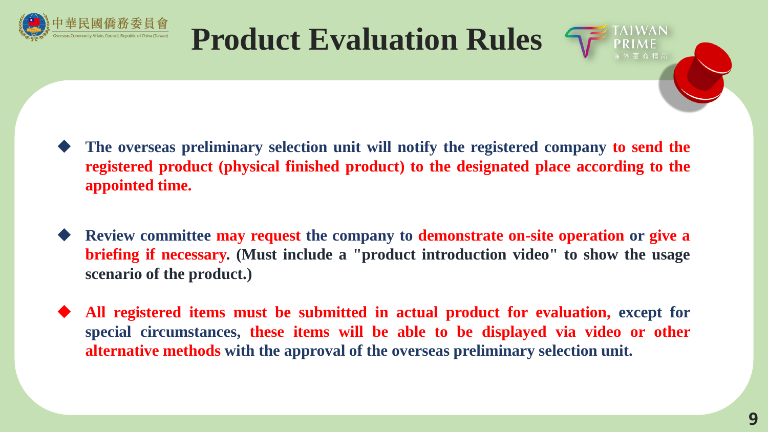

## **Product Evaluation Rules**



- ◆ **The overseas preliminary selection unit will notify the registered company to send the registered product (physical finished product) to the designated place according to the appointed time.**
- ◆ **Review committee may request the company to demonstrate on-site operation or give a briefing if necessary. (Must include a "product introduction video" to show the usage scenario of the product.)**
- ◆ **All registered items must be submitted in actual product for evaluation, except for special circumstances, these items will be able to be displayed via video or other alternative methods with the approval of the overseas preliminary selection unit.**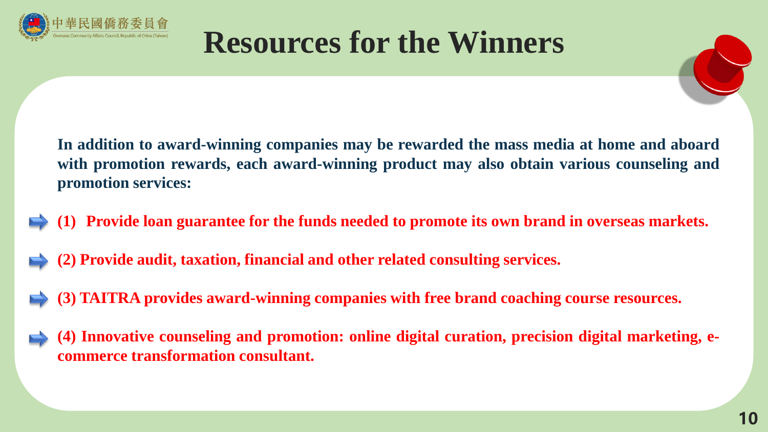



**In addition to award-winning companies may be rewarded the mass media at home and aboard with promotion rewards, each award-winning product may also obtain various counseling and promotion services:**

- **(1) Provide loan guarantee for the funds needed to promote its own brand in overseas markets.**
- **(2) Provide audit, taxation, financial and other related consulting services.**
- **(3) TAITRA provides award-winning companies with free brand coaching course resources.**
- **(4) Innovative counseling and promotion: online digital curation, precision digital marketing, ecommerce transformation consultant.**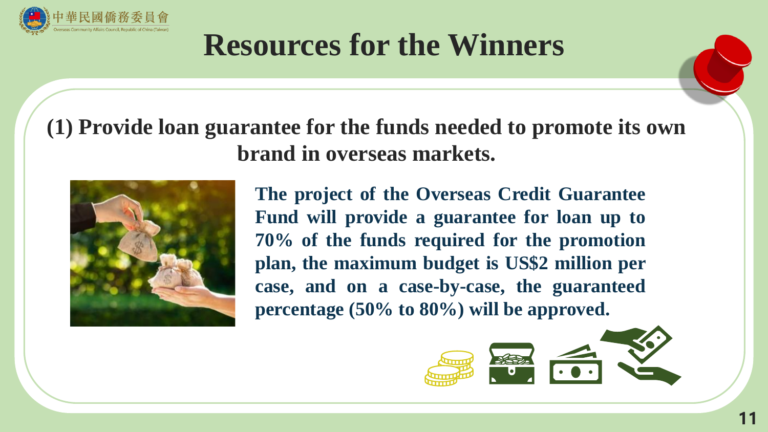

## **(1) Provide loan guarantee for the funds needed to promote its own brand in overseas markets.**



**The project of the Overseas Credit Guarantee Fund will provide a guarantee for loan up to 70% of the funds required for the promotion plan, the maximum budget is US\$2 million per case, and on a case-by-case, the guaranteed percentage (50% to 80%) will be approved.**

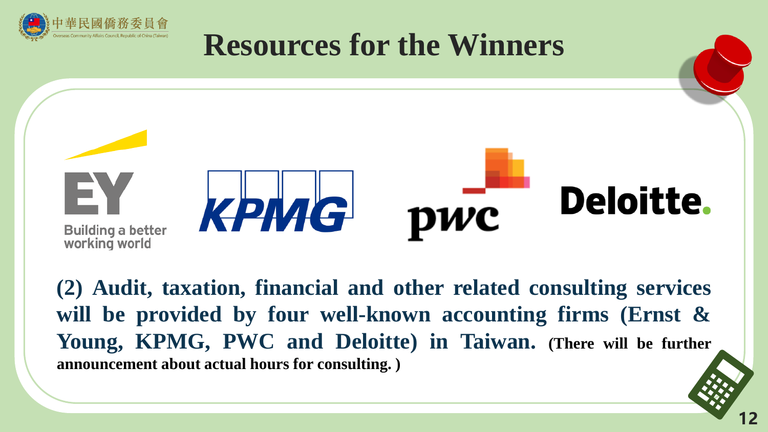



**(2) Audit, taxation, financial and other related consulting services will be provided by four well-known accounting firms (Ernst & Young, KPMG, PWC and Deloitte) in Taiwan. (There will be further announcement about actual hours for consulting. )**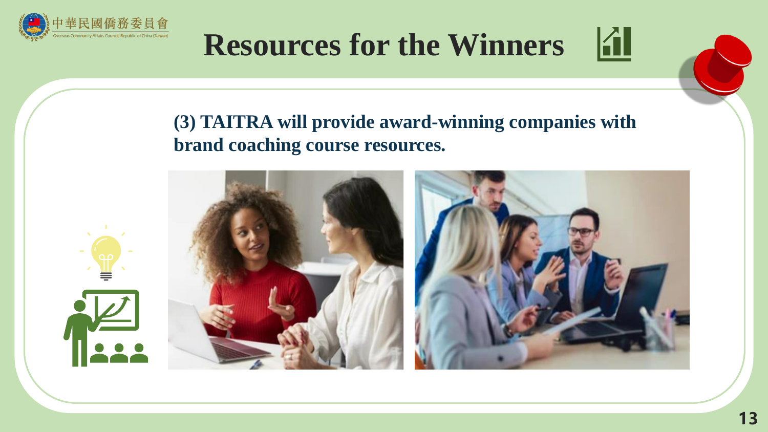



### **(3) TAITRA will provide award-winning companies with brand coaching course resources.**

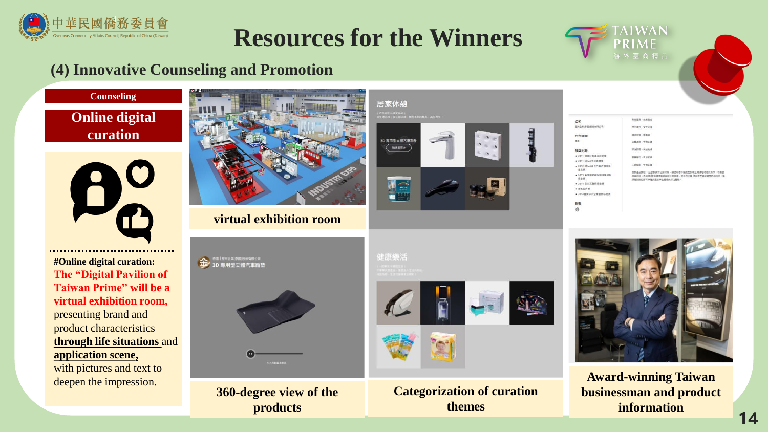



#### **(4) Innovative Counseling and Promotion**





**#Online digital curation: The "Digital Pavilion of Taiwan Prime" will be a virtual exhibition room,** presenting brand and product characteristics **through life situations** and **application scene,** with pictures and text to deepen the impression.

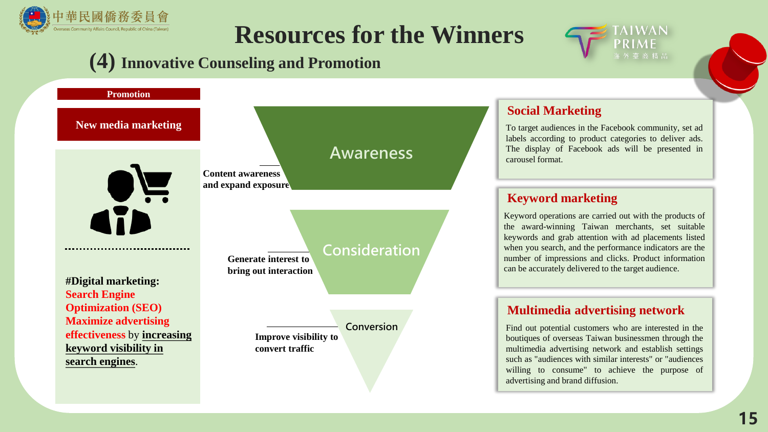

### **(4) Innovative Counseling and Promotion**



#### **Social Marketing**

To target audiences in the Facebook community, set ad labels according to product categories to deliver ads. The display of Facebook ads will be presented in carousel format.

#### **Keyword marketing**

Keyword operations are carried out with the products of the award-winning Taiwan merchants, set suitable keywords and grab attention with ad placements listed when you search, and the performance indicators are the number of impressions and clicks. Product information can be accurately delivered to the target audience.

#### **Multimedia advertising network**

Find out potential customers who are interested in the boutiques of overseas Taiwan businessmen through the multimedia advertising network and establish settings such as "audiences with similar interests" or "audiences willing to consume" to achieve the purpose of advertising and brand diffusion.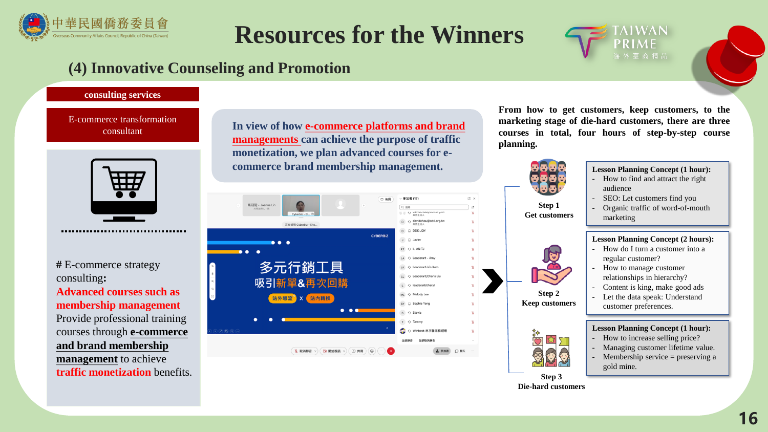



#### **consulting services**

E-commerce transformation consultant



...................................

**#** E-commerce strategy consulting**: Advanced courses such as membership management** Provide professional training courses through **e-commerce and brand membership management** to achieve **traffic monetization** benefits.

**In view of how e-commerce platforms and brand managements can achieve the purpose of traffic monetization, we plan advanced courses for ecommerce brand membership management. Lesson Planning Concept (1 hour): Lesson Planning Concept (1 hour):** 

●加者(17) C X 門 体局 商研院 - Joanna Lin Q 报师 || ij ク wavnaun D O davidchou@cdri.org.tw 正在相視 Cyberbiz - Elvs. D **DDK-JOY** CYBERB2 J <sup>D</sup> Javier  $\bullet\bullet\bullet$  $KT$   $\odot$  k. AN TJ . . LA O Leaderart - Amy 多元行銷工具 LK Q Leaderart-Iris Kam LL O Leaderart/Charis Liu 吸引新單&再次回購 L <br />
leaderart/cheryl ML <br />
Melody Lee 站外導流 X 站內轉換 SY C Sophia Yang  $\bullet\bullet\bullet$ s <br />
Stevia  $T$   $\odot$  Tammy ○ Winbest-林宇馨業務經理 全部取消联合 全部酵音 ○ 脚天  $2.9$  mm **S. 取消器音** □ 開始視訊 √ **D 共用** 

**From how to get customers, keep customers, to the marketing stage of die-hard customers, there are three courses in total, four hours of step-by-step course planning.**



**Step 3 Die-hard customers**

- How do I turn a customer into a regular customer? - How to manage customer relationships in hierarchy?
- Content is king, make good ads
- Let the data speak: Understand customer preferences.

#### **Lesson Planning Concept (1 hour):**

- How to increase selling price?
- Managing customer lifetime value.
- Membership service  $=$  preserving a gold mine.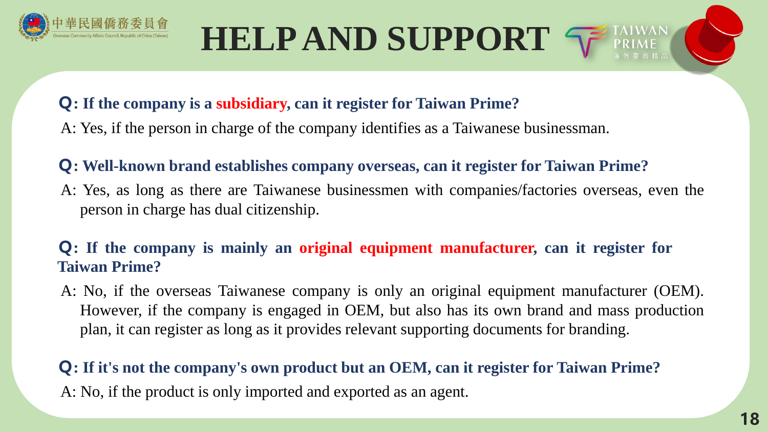

# **HELP AND SUPPORT**

### **Q: If the company is a subsidiary, can it register for Taiwan Prime?**

A: Yes, if the person in charge of the company identifies as a Taiwanese businessman.

#### **Q: Well-known brand establishes company overseas, can it register for Taiwan Prime?**

A: Yes, as long as there are Taiwanese businessmen with companies/factories overseas, even the person in charge has dual citizenship.

### **Q: If the company is mainly an original equipment manufacturer, can it register for Taiwan Prime?**

A: No, if the overseas Taiwanese company is only an original equipment manufacturer (OEM). However, if the company is engaged in OEM, but also has its own brand and mass production plan, it can register as long as it provides relevant supporting documents for branding.

## **Q: If it's not the company's own product but an OEM, can it register for Taiwan Prime?** A: No, if the product is only imported and exported as an agent.

**TAIWAN**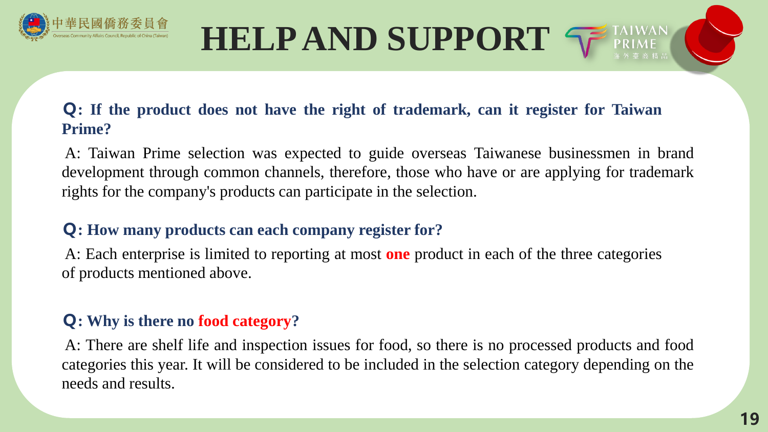

# **HELPAND SUPPORT**

#### **Q: If the product does not have the right of trademark, can it register for Taiwan Prime?**

A: Taiwan Prime selection was expected to guide overseas Taiwanese businessmen in brand development through common channels, therefore, those who have or are applying for trademark rights for the company's products can participate in the selection.

### **Q: How many products can each company register for?**

A: Each enterprise is limited to reporting at most **one** product in each of the three categories of products mentioned above.

### **Q: Why is there no food category?**

A: There are shelf life and inspection issues for food, so there is no processed products and food categories this year. It will be considered to be included in the selection category depending on the needs and results.

**TAIWAN**